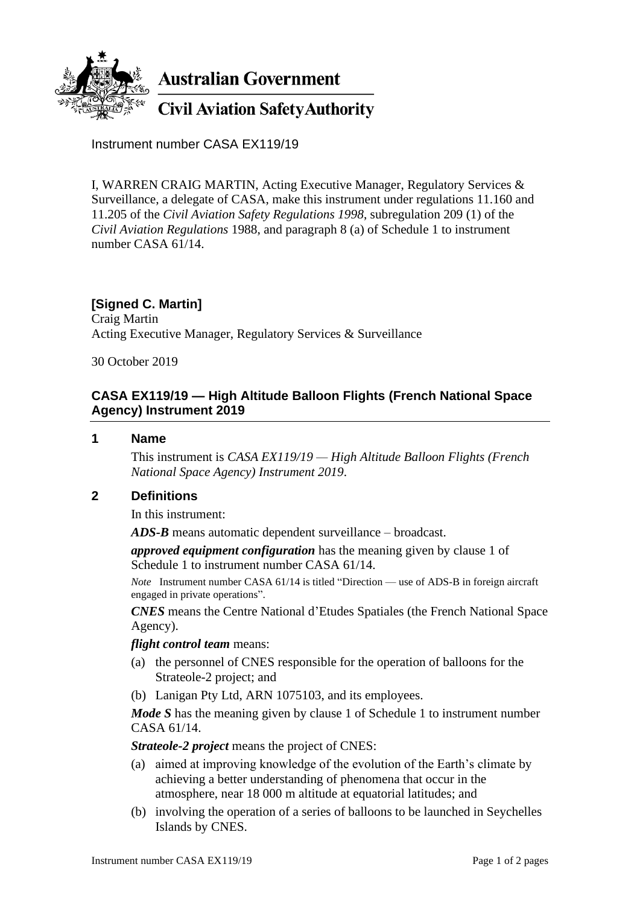

Instrument number CASA EX119/19

I, WARREN CRAIG MARTIN, Acting Executive Manager, Regulatory Services & Surveillance, a delegate of CASA, make this instrument under regulations 11.160 and 11.205 of the *Civil Aviation Safety Regulations 1998*, subregulation 209 (1) of the *Civil Aviation Regulations* 1988, and paragraph 8 (a) of Schedule 1 to instrument number CASA 61/14.

# **[Signed C. Martin]**

Craig Martin Acting Executive Manager, Regulatory Services & Surveillance

30 October 2019

# **CASA EX119/19 — High Altitude Balloon Flights (French National Space Agency) Instrument 2019**

### **1 Name**

This instrument is *CASA EX119/19 — High Altitude Balloon Flights (French National Space Agency) Instrument 2019*.

# **2 Definitions**

In this instrument:

*ADS-B* means automatic dependent surveillance – broadcast.

*approved equipment configuration* has the meaning given by clause 1 of Schedule 1 to instrument number CASA 61/14.

*Note* Instrument number CASA 61/14 is titled "Direction — use of ADS-B in foreign aircraft engaged in private operations".

*CNES* means the Centre National d'Etudes Spatiales (the French National Space Agency).

### *flight control team* means:

- (a) the personnel of CNES responsible for the operation of balloons for the Strateole-2 project; and
- (b) Lanigan Pty Ltd, ARN 1075103, and its employees.

*Mode S* has the meaning given by clause 1 of Schedule 1 to instrument number CASA 61/14.

*Strateole-2 project* means the project of CNES:

- (a) aimed at improving knowledge of the evolution of the Earth's climate by achieving a better understanding of phenomena that occur in the atmosphere, near 18 000 m altitude at equatorial latitudes; and
- (b) involving the operation of a series of balloons to be launched in Seychelles Islands by CNES.